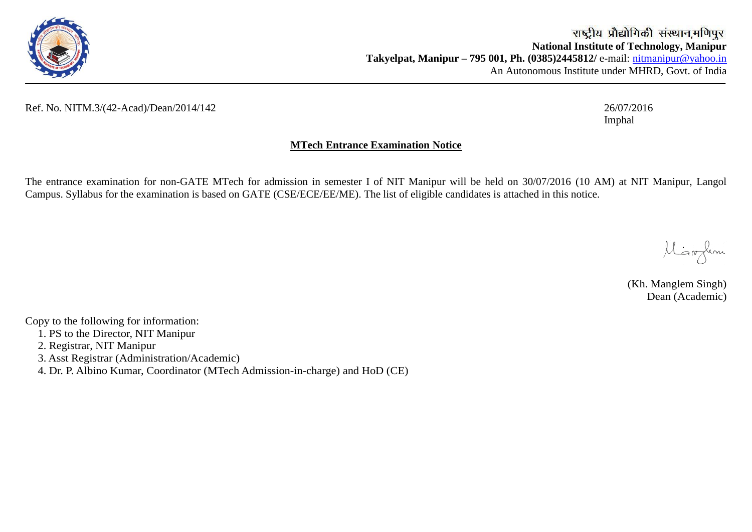

## Ref. No. NITM.3/(42-Acad)/Dean/2014/142 26/07/2016

Imphal

## **MTech Entrance Examination Notice**

The entrance examination for non-GATE MTech for admission in semester I of NIT Manipur will be held on 30/07/2016 (10 AM) at NIT Manipur, Langol Campus. Syllabus for the examination is based on GATE (CSE/ECE/EE/ME). The list of eligible candidates is attached in this notice.

Migordeni

(Kh. Manglem Singh) Dean (Academic)

Copy to the following for information:

- 1. PS to the Director, NIT Manipur
- 2. Registrar, NIT Manipur
- 3. Asst Registrar (Administration/Academic)

4. Dr. P. Albino Kumar, Coordinator (MTech Admission-in-charge) and HoD (CE)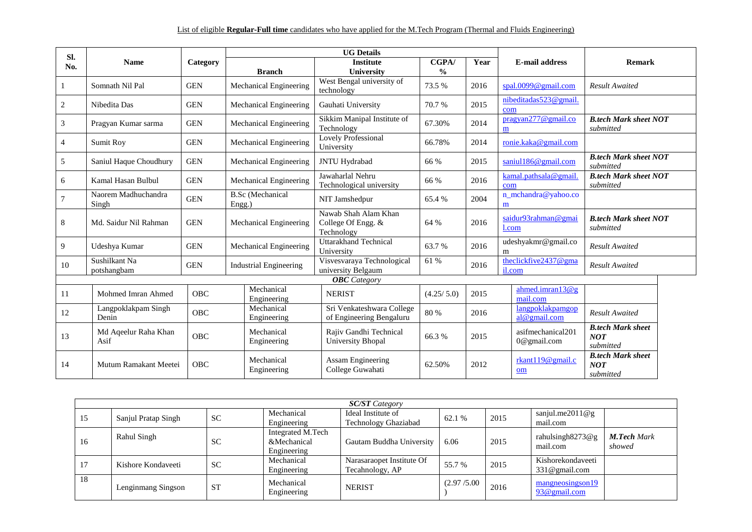| SI. |                              |            |                                   | <b>UG Details</b>                                        |               |      |                                   |                                                     |
|-----|------------------------------|------------|-----------------------------------|----------------------------------------------------------|---------------|------|-----------------------------------|-----------------------------------------------------|
| No. | <b>Name</b>                  | Category   |                                   | <b>Institute</b>                                         | CGPA/         | Year | <b>E-mail address</b>             | Remark                                              |
|     |                              |            | <b>Branch</b>                     | <b>University</b>                                        | $\frac{0}{0}$ |      |                                   |                                                     |
|     | Somnath Nil Pal              | <b>GEN</b> | Mechanical Engineering            | West Bengal university of<br>technology                  | 73.5 %        | 2016 | spal.0099@gmail.com               | <b>Result Awaited</b>                               |
| 2   | Nibedita Das                 | <b>GEN</b> | Mechanical Engineering            | Gauhati University                                       | 70.7 %        | 2015 | nibeditadas523@gmail<br>com       |                                                     |
| 3   | Pragyan Kumar sarma          | <b>GEN</b> | Mechanical Engineering            | Sikkim Manipal Institute of<br>Technology                | 67.30%        | 2014 | pragyan277@gmail.co<br>m          | <b>B.tech Mark sheet NOT</b><br>submitted           |
| 4   | Sumit Roy                    | <b>GEN</b> | Mechanical Engineering            | <b>Lovely Professional</b><br>University                 | 66.78%        | 2014 | ronie.kaka@gmail.com              |                                                     |
| 5   | Saniul Haque Choudhury       | <b>GEN</b> | Mechanical Engineering            | JNTU Hydrabad                                            | 66 %          | 2015 | saniul186@gmail.com               | <b>B.tech Mark sheet NOT</b><br>submitted           |
| 6   | Kamal Hasan Bulbul           | <b>GEN</b> | Mechanical Engineering            | Jawaharlal Nehru<br>Technological university             | 66 %          | 2016 | kamal.pathsala@gmail<br>com       | <b>B.tech Mark sheet NOT</b><br>submitted           |
|     | Naorem Madhuchandra<br>Singh | <b>GEN</b> | <b>B.Sc</b> (Mechanical<br>Engg.) | NIT Jamshedpur                                           | 65.4 %        | 2004 | n_mchandra@yahoo.co<br>m          |                                                     |
| 8   | Md. Saidur Nil Rahman        | <b>GEN</b> | Mechanical Engineering            | Nawab Shah Alam Khan<br>College Of Engg. &<br>Technology | 64 %          | 2016 | saidur93rahman@gmai<br>l.com      | <b>B.tech Mark sheet NOT</b><br>submitted           |
| 9   | Udeshya Kumar                | <b>GEN</b> | Mechanical Engineering            | <b>Uttarakhand Technical</b><br>University               | 63.7 %        | 2016 | udeshyakmr@gmail.co<br>m          | <b>Result Awaited</b>                               |
| 10  | Sushilkant Na<br>potshangbam | <b>GEN</b> | <b>Industrial Engineering</b>     | Visvesvaraya Technological<br>university Belgaum         | 61 %          | 2016 | theclickfive2437@gma<br>il.com    | <b>Result Awaited</b>                               |
|     |                              |            |                                   | <b>OBC</b> Category                                      |               |      |                                   |                                                     |
| 11  | Mohmed Imran Ahmed           | OBC        | Mechanical<br>Engineering         | <b>NERIST</b>                                            | (4.25/5.0)    | 2015 | $a$ hmed.imran $13@g$<br>mail.com |                                                     |
| 12  | Langpoklakpam Singh<br>Denin | <b>OBC</b> | Mechanical<br>Engineering         | Sri Venkateshwara College<br>of Engineering Bengaluru    | 80 %          | 2016 | langpoklakpamgop<br>al@gmail.com  | <b>Result Awaited</b>                               |
| 13  | Md Aqeelur Raha Khan<br>Asif | OBC        | Mechanical<br>Engineering         | Rajiv Gandhi Technical<br>University Bhopal              | 66.3%         | 2015 | asifmechanical201<br>0@gmail.com  | <b>B.tech Mark sheet</b><br><b>NOT</b><br>submitted |
| 14  | Mutum Ramakant Meetei        | <b>OBC</b> | Mechanical<br>Engineering         | Assam Engineering<br>College Guwahati                    | 62.50%        | 2012 | rkant119@gmail.c<br>om            | <b>B.tech Mark sheet</b><br><b>NOT</b><br>submitted |

|    | <b>SC/ST</b> Category |           |                                                 |                                                   |             |      |                                    |                              |  |
|----|-----------------------|-----------|-------------------------------------------------|---------------------------------------------------|-------------|------|------------------------------------|------------------------------|--|
| 15 | Sanjul Pratap Singh   | <b>SC</b> | Mechanical<br>Engineering                       | Ideal Institute of<br><b>Technology Ghaziabad</b> | 62.1 %      | 2015 | sanjul.me2011@g<br>mail.com        |                              |  |
| 16 | Rahul Singh           | <b>SC</b> | Integrated M.Tech<br>&Mechanical<br>Engineering | Gautam Buddha University                          | 6.06        | 2015 | rahulsingh8273@g<br>mail.com       | <b>M.Tech Mark</b><br>showed |  |
| 17 | Kishore Kondaveeti    | <b>SC</b> | Mechanical<br>Engineering                       | Narasaraopet Institute Of<br>Tecahnology, AP      | 55.7 %      | 2015 | Kishorekondaveeti<br>331@gmail.com |                              |  |
| 18 | Lenginmang Singson    | <b>ST</b> | Mechanical<br>Engineering                       | <b>NERIST</b>                                     | (2.97/5.00) | 2016 | mangneosingson19<br>93@gmail.com   |                              |  |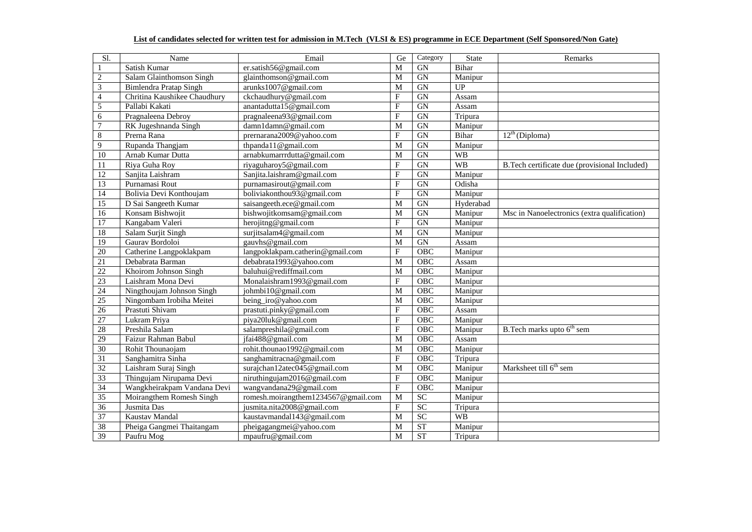## **List of candidates selected for written test for admission in M.Tech (VLSI & ES) programme in ECE Department (Self Sponsored/Non Gate)**

| Sl.                     | Name                                  | Email                               | Ge             | Category        | <b>State</b> | Remarks                                       |
|-------------------------|---------------------------------------|-------------------------------------|----------------|-----------------|--------------|-----------------------------------------------|
| 1                       | Satish Kumar<br>er.satish56@gmail.com |                                     | M              | <b>GN</b>       | Bihar        |                                               |
| $\overline{c}$          | Salam Glainthomson Singh              | glainthomson@gmail.com              | M              | <b>GN</b>       | Manipur      |                                               |
| $\overline{\mathbf{3}}$ | <b>Bimlendra Pratap Singh</b>         | arunks1007@gmail.com                | M              | GN              | UP           |                                               |
| $\overline{4}$          | Chritina Kaushikee Chaudhury          | ckchaudhury@gmail.com               | $\mathbf F$    | GN              | Assam        |                                               |
| 5                       | Pallabi Kakati                        | anantadutta15@gmail.com             | $\rm F$        | GN              | Assam        |                                               |
| $\sqrt{6}$              | Pragnaleena Debroy                    | pragnaleena93@gmail.com             | $\mathbf{F}$   | <b>GN</b>       | Tripura      |                                               |
| $\overline{7}$          | RK Jugeshnanda Singh                  | damn1damn@gmail.com                 | M              | <b>GN</b>       | Manipur      |                                               |
| $\overline{8}$          | Prerna Rana                           | prernarana2009@yahoo.com            | $\mathbf{F}$   | GN              | Bihar        | $12^{th}$ (Diploma)                           |
| 9                       | Rupanda Thangjam                      | thpanda11@gmail.com                 | $\overline{M}$ | GN              | Manipur      |                                               |
| 10                      | Arnab Kumar Dutta                     | arnabkumarrrdutta@gmail.com         | M              | GN              | <b>WB</b>    |                                               |
| 11                      | Riya Guha Roy                         | riyaguharoy5@gmail.com              | ${\bf F}$      | GN              | <b>WB</b>    | B.Tech certificate due (provisional Included) |
| $\overline{12}$         | Sanjita Laishram                      | Sanjita.laishram@gmail.com          | $\rm F$        | GN              | Manipur      |                                               |
| 13                      | Purnamasi Rout                        | purnamasirout@gmail.com             | $\rm F$        | <b>GN</b>       | Odisha       |                                               |
| 14                      | Bolivia Devi Konthoujam               | boliviakonthou93@gmail.com          | $\overline{F}$ | <b>GN</b>       | Manipur      |                                               |
| 15                      | D Sai Sangeeth Kumar                  | saisangeeth.ece@gmail.com           | M              | GN              | Hyderabad    |                                               |
| 16                      | Konsam Bishwojit                      | bishwojitkomsam@gmail.com           | M              | GN              | Manipur      | Msc in Nanoelectronics (extra qualification)  |
| $\overline{17}$         | Kangabam Valeri                       | herojitng@gmail.com                 | $\rm F$        | GN              | Manipur      |                                               |
| $\overline{18}$         | Salam Surjit Singh                    | surjitsalam4@gmail.com              | $\overline{M}$ | GN              | Manipur      |                                               |
| 19                      | Gaurav Bordoloi                       | gauvhs@gmail.com                    | M              | GN              | Assam        |                                               |
| 20                      | Catherine Langpoklakpam               | langpoklakpam.catherin@gmail.com    | $\mathbf{F}$   | OBC             | Manipur      |                                               |
| $\overline{21}$         | Debabrata Barman                      | debabrata1993@yahoo.com             | $\overline{M}$ | OBC             | Assam        |                                               |
| 22                      | Khoirom Johnson Singh                 | baluhui@rediffmail.com              | M              | OBC             | Manipur      |                                               |
| $\overline{23}$         | Laishram Mona Devi                    | Monalaishram1993@gmail.com          | $\mathbf{F}$   | OBC             | Manipur      |                                               |
| $\overline{24}$         | Ningthoujam Johnson Singh             | johmbi10@gmail.com                  | M              | OBC             | Manipur      |                                               |
| $\overline{25}$         | Ningombam Irobiha Meitei              | being_iro@yahoo.com                 | M              | OBC             | Manipur      |                                               |
| $\overline{26}$         | Prastuti Shivam                       | prastuti.pinky@gmail.com            | $\overline{F}$ | OBC             | Assam        |                                               |
| 27                      | Lukram Priya                          | piya20luk@gmail.com                 | $\rm F$        | OBC             | Manipur      |                                               |
| 28                      | Preshila Salam                        | salampreshila@gmail.com             | $\mathbf{F}$   | OBC             | Manipur      | B. Tech marks upto $6th$ sem                  |
| 29                      | Faizur Rahman Babul                   | jfai488@gmail.com                   | M              | OBC             | Assam        |                                               |
| $\overline{30}$         | Rohit Thounaojam                      | rohit.thounao1992@gmail.com         | M              | OBC             | Manipur      |                                               |
| 31                      | Sanghamitra Sinha                     | sanghamitracna@gmail.com            | $\mathbf F$    | OBC             | Tripura      |                                               |
| $\overline{32}$         | Laishram Suraj Singh                  | surajchan12atec045@gmail.com        | M              | OBC             | Manipur      | Marksheet till 6 <sup>th</sup> sem            |
| $\overline{33}$         | Thingujam Nirupama Devi               | niruthingujam2016@gmail.com         | $\mathbf F$    | OBC             | Manipur      |                                               |
| $\overline{34}$         | Wangkheirakpam Vandana Devi           | wangvandana29@gmail.com             | $\mathbf F$    | OBC             | Manipur      |                                               |
| $\overline{35}$         | Moirangthem Romesh Singh              | romesh.moirangthem1234567@gmail.com | $\overline{M}$ | SC              | Manipur      |                                               |
| $\overline{36}$         | Jusmita Das                           | jusmita.nita2008@gmail.com          | $\mathbf F$    | $\overline{SC}$ | Tripura      |                                               |
| 37                      | Kaustav Mandal                        | kaustavmandal143@gmail.com          | M              | SC              | <b>WB</b>    |                                               |
| $\overline{38}$         | Pheiga Gangmei Thaitangam             | pheigagangmei@yahoo.com             | $\overline{M}$ | ST              | Manipur      |                                               |
| 39                      | Paufru Mog                            | mpaufru@gmail.com                   | $\overline{M}$ | <b>ST</b>       | Tripura      |                                               |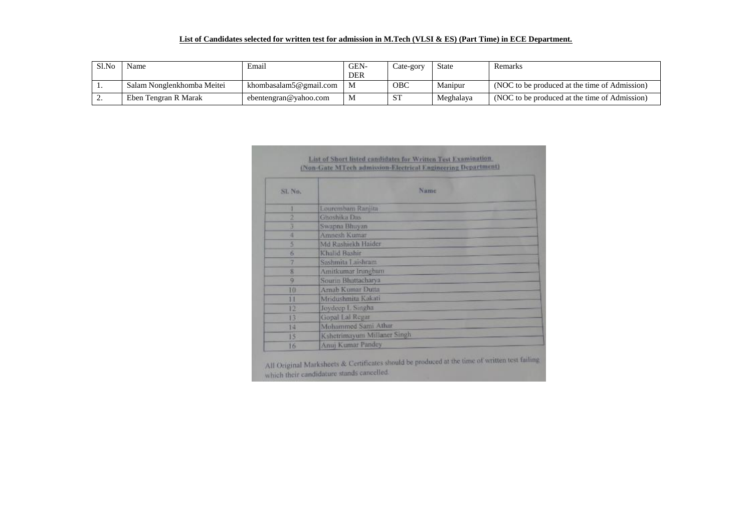## **List of Candidates selected for written test for admission in M.Tech (VLSI & ES) (Part Time) in ECE Department.**

| Sl.No | Name                       | Email                  | GEN-       | Cate-gory  | <b>State</b> | Remarks                                       |
|-------|----------------------------|------------------------|------------|------------|--------------|-----------------------------------------------|
|       |                            |                        | <b>DER</b> |            |              |                                               |
|       | Salam Nonglenkhomba Meitei | khombasalam5@gmail.com |            | <b>OBC</b> | Manipur      | (NOC to be produced at the time of Admission) |
|       | Eben Tengran R Marak       | ebentengran@vahoo.com  | М          | <b>ST</b>  | Meghalaya    | (NOC to be produced at the time of Admission) |

| SL No.<br>Lourembum Ranjita<br>Ghoshika Das<br>ø<br>з<br>Swapna Bhuyan<br>Amnesh Kumar<br>и<br>Md Rashiekh Haider<br>5<br>Khalid Bashir<br>客<br>Sashmita Laishram<br>u<br>s | Namie               |  |
|-----------------------------------------------------------------------------------------------------------------------------------------------------------------------------|---------------------|--|
|                                                                                                                                                                             |                     |  |
|                                                                                                                                                                             |                     |  |
|                                                                                                                                                                             |                     |  |
|                                                                                                                                                                             |                     |  |
|                                                                                                                                                                             |                     |  |
|                                                                                                                                                                             |                     |  |
|                                                                                                                                                                             |                     |  |
|                                                                                                                                                                             |                     |  |
|                                                                                                                                                                             | Amitkumar Irungbam  |  |
| Sourin Bhattacharya<br>$\alpha$                                                                                                                                             |                     |  |
| Arnab Kumar Dutta<br>10                                                                                                                                                     |                     |  |
| Mridushmita Kakati<br>11                                                                                                                                                    |                     |  |
| Joydeep L Singha<br>12                                                                                                                                                      |                     |  |
| Gopal Lal Regar<br>13                                                                                                                                                       |                     |  |
| 14                                                                                                                                                                          | Mohammed Sami Athar |  |

All Original Marksheets & Certificates should be produced at the time of written test failing which their candidature stands cancelled.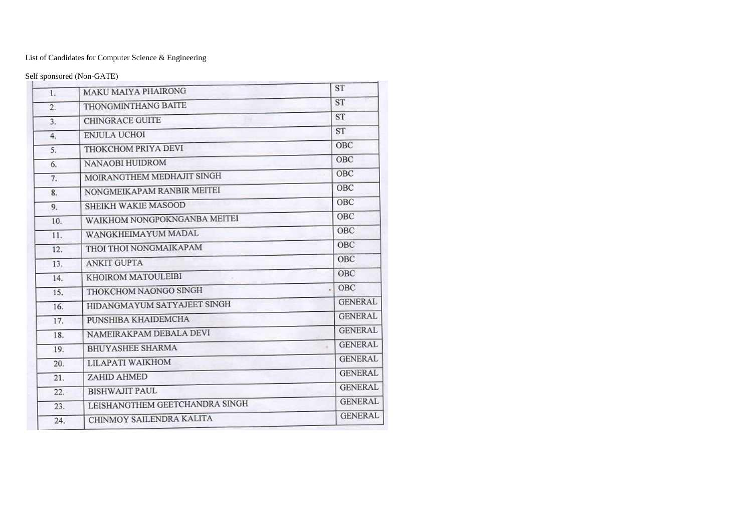List of Candidates for Computer Science & Engineering

Self sponsored (Non-GATE)

| 1.  | MAKU MAIYA PHAIRONG            | <b>ST</b>      |
|-----|--------------------------------|----------------|
| 2.  | THONGMINTHANG BAITE            | ST             |
| 3.  | <b>CHINGRACE GUITE</b>         | <b>ST</b>      |
| 4.  | <b>ENJULA UCHOI</b>            | <b>ST</b>      |
| 5.  | THOKCHOM PRIYA DEVI            | OBC            |
| 6.  | NANAOBI HUIDROM                | OBC            |
| 7.  | MOIRANGTHEM MEDHAJIT SINGH     | OBC            |
| 8.  | NONGMEIKAPAM RANBIR MEITEI     | OBC            |
| 9.  | SHEIKH WAKIE MASOOD            | OBC            |
| 10. | WAIKHOM NONGPOKNGANBA MEITEI   | OBC            |
| 11. | WANGKHEIMAYUM MADAL            | OBC            |
| 12. | THOI THOI NONGMAIKAPAM         | OBC            |
| 13. | <b>ANKIT GUPTA</b>             | OBC            |
| 14. | KHOIROM MATOULEIBI             | OBC            |
| 15. | THOKCHOM NAONGO SINGH          | OBC            |
| 16. | HIDANGMAYUM SATYAJEET SINGH    | <b>GENERAL</b> |
| 17. | PUNSHIBA KHAIDEMCHA            | <b>GENERAL</b> |
| 18. | NAMEIRAKPAM DEBALA DEVI        | <b>GENERAL</b> |
| 19. | <b>BHUYASHEE SHARMA</b>        | <b>GENERAL</b> |
| 20. | LILAPATI WAIKHOM               | <b>GENERAL</b> |
| 21. | ZAHID AHMED                    | <b>GENERAL</b> |
| 22. | <b>BISHWAJIT PAUL</b>          | <b>GENERAL</b> |
| 23. | LEISHANGTHEM GEETCHANDRA SINGH | <b>GENERAL</b> |
| 24. | CHINMOY SAILENDRA KALITA       | <b>GENERAL</b> |